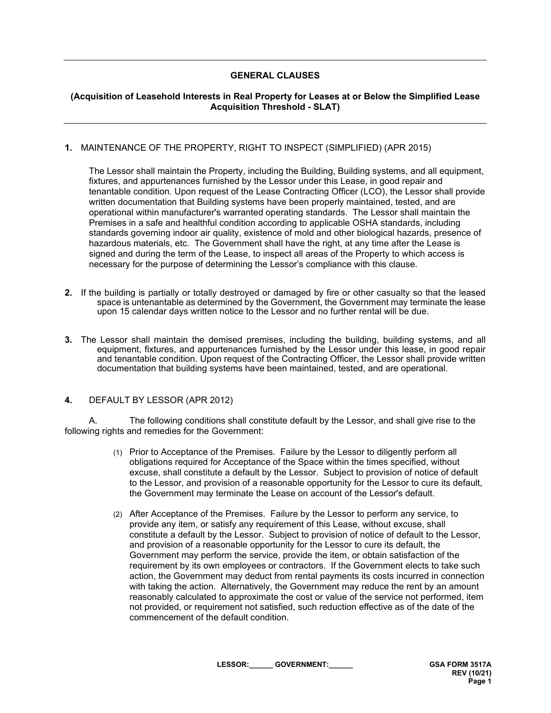# **GENERAL CLAUSES**

## **(Acquisition of Leasehold Interests in Real Property for Leases at or Below the Simplified Lease Acquisition Threshold - SLAT)**

### **1.** MAINTENANCE OF THE PROPERTY, RIGHT TO INSPECT (SIMPLIFIED) (APR 2015)

The Lessor shall maintain the Property, including the Building, Building systems, and all equipment, fixtures, and appurtenances furnished by the Lessor under this Lease, in good repair and tenantable condition. Upon request of the Lease Contracting Officer (LCO), the Lessor shall provide written documentation that Building systems have been properly maintained, tested, and are operational within manufacturer's warranted operating standards. The Lessor shall maintain the Premises in a safe and healthful condition according to applicable OSHA standards, including standards governing indoor air quality, existence of mold and other biological hazards, presence of hazardous materials, etc. The Government shall have the right, at any time after the Lease is signed and during the term of the Lease, to inspect all areas of the Property to which access is necessary for the purpose of determining the Lessor's compliance with this clause.

- **2.** If the building is partially or totally destroyed or damaged by fire or other casualty so that the leased space is untenantable as determined by the Government, the Government may terminate the lease upon 15 calendar days written notice to the Lessor and no further rental will be due.
- **3.** The Lessor shall maintain the demised premises, including the building, building systems, and all equipment, fixtures, and appurtenances furnished by the Lessor under this lease, in good repair and tenantable condition. Upon request of the Contracting Officer, the Lessor shall provide written documentation that building systems have been maintained, tested, and are operational.

#### **4.** DEFAULT BY LESSOR (APR 2012)

A. The following conditions shall constitute default by the Lessor, and shall give rise to the following rights and remedies for the Government:

- (1) Prior to Acceptance of the Premises. Failure by the Lessor to diligently perform all obligations required for Acceptance of the Space within the times specified, without excuse, shall constitute a default by the Lessor. Subject to provision of notice of default to the Lessor, and provision of a reasonable opportunity for the Lessor to cure its default, the Government may terminate the Lease on account of the Lessor's default.
- (2) After Acceptance of the Premises. Failure by the Lessor to perform any service, to provide any item, or satisfy any requirement of this Lease, without excuse, shall constitute a default by the Lessor. Subject to provision of notice of default to the Lessor, and provision of a reasonable opportunity for the Lessor to cure its default, the Government may perform the service, provide the item, or obtain satisfaction of the requirement by its own employees or contractors. If the Government elects to take such action, the Government may deduct from rental payments its costs incurred in connection with taking the action. Alternatively, the Government may reduce the rent by an amount reasonably calculated to approximate the cost or value of the service not performed, item not provided, or requirement not satisfied, such reduction effective as of the date of the commencement of the default condition.

LESSOR: GOVERNMENT: GOVERNMENT: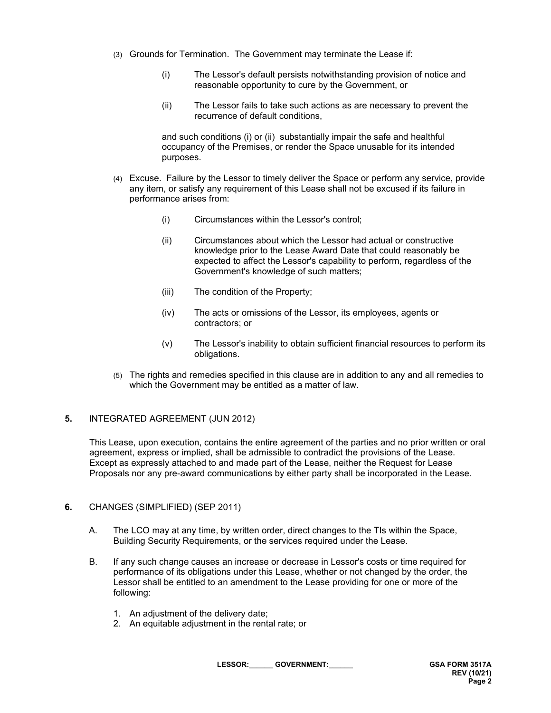- (3) Grounds for Termination. The Government may terminate the Lease if:
	- (i) The Lessor's default persists notwithstanding provision of notice and reasonable opportunity to cure by the Government, or
	- (ii) The Lessor fails to take such actions as are necessary to prevent the recurrence of default conditions,

and such conditions (i) or (ii) substantially impair the safe and healthful occupancy of the Premises, or render the Space unusable for its intended purposes.

- (4) Excuse. Failure by the Lessor to timely deliver the Space or perform any service, provide any item, or satisfy any requirement of this Lease shall not be excused if its failure in performance arises from:
	- (i) Circumstances within the Lessor's control;
	- (ii) Circumstances about which the Lessor had actual or constructive knowledge prior to the Lease Award Date that could reasonably be expected to affect the Lessor's capability to perform, regardless of the Government's knowledge of such matters;
	- (iii) The condition of the Property;
	- (iv) The acts or omissions of the Lessor, its employees, agents or contractors; or
	- (v) The Lessor's inability to obtain sufficient financial resources to perform its obligations.
- (5) The rights and remedies specified in this clause are in addition to any and all remedies to which the Government may be entitled as a matter of law.

# **5.** INTEGRATED AGREEMENT (JUN 2012)

This Lease, upon execution, contains the entire agreement of the parties and no prior written or oral agreement, express or implied, shall be admissible to contradict the provisions of the Lease. Except as expressly attached to and made part of the Lease, neither the Request for Lease Proposals nor any pre-award communications by either party shall be incorporated in the Lease.

# **6.** CHANGES (SIMPLIFIED) (SEP 2011)

- A. The LCO may at any time, by written order, direct changes to the TIs within the Space, Building Security Requirements, or the services required under the Lease.
- B. If any such change causes an increase or decrease in Lessor's costs or time required for performance of its obligations under this Lease, whether or not changed by the order, the Lessor shall be entitled to an amendment to the Lease providing for one or more of the following:
	- 1. An adjustment of the delivery date;
	- 2. An equitable adjustment in the rental rate; or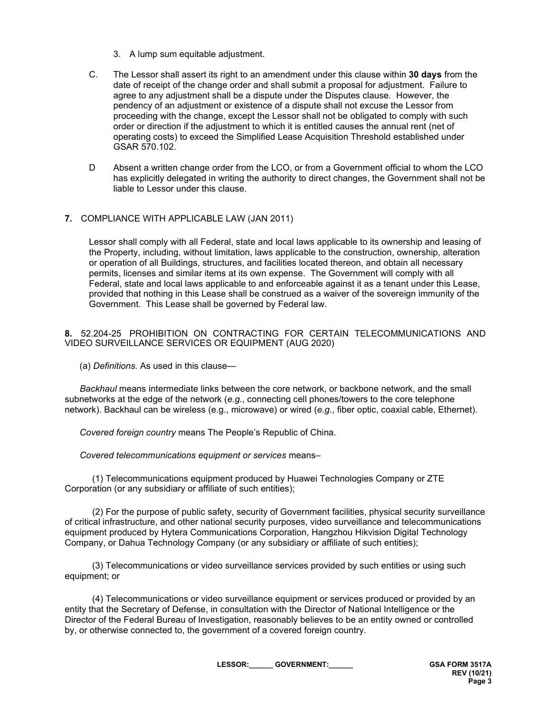- 3. A lump sum equitable adjustment.
- C. The Lessor shall assert its right to an amendment under this clause within **30 days** from the date of receipt of the change order and shall submit a proposal for adjustment. Failure to agree to any adjustment shall be a dispute under the Disputes clause. However, the pendency of an adjustment or existence of a dispute shall not excuse the Lessor from proceeding with the change, except the Lessor shall not be obligated to comply with such order or direction if the adjustment to which it is entitled causes the annual rent (net of operating costs) to exceed the Simplified Lease Acquisition Threshold established under GSAR 570.102.
- D Absent a written change order from the LCO, or from a Government official to whom the LCO has explicitly delegated in writing the authority to direct changes, the Government shall not be liable to Lessor under this clause.

## **7.** COMPLIANCE WITH APPLICABLE LAW (JAN 2011)

Lessor shall comply with all Federal, state and local laws applicable to its ownership and leasing of the Property, including, without limitation, laws applicable to the construction, ownership, alteration or operation of all Buildings, structures, and facilities located thereon, and obtain all necessary permits, licenses and similar items at its own expense. The Government will comply with all Federal, state and local laws applicable to and enforceable against it as a tenant under this Lease, provided that nothing in this Lease shall be construed as a waiver of the sovereign immunity of the Government. This Lease shall be governed by Federal law.

## **8.** 52.204-25 PROHIBITION ON CONTRACTING FOR CERTAIN TELECOMMUNICATIONS AND VIDEO SURVEILLANCE SERVICES OR EQUIPMENT (AUG 2020)

(a) *Definitions.* As used in this clause—

 *Backhaul* means intermediate links between the core network, or backbone network, and the small subnetworks at the edge of the network (*e.g.*, connecting cell phones/towers to the core telephone network). Backhaul can be wireless (e.g., microwave) or wired (*e.g.*, fiber optic, coaxial cable, Ethernet).

*Covered foreign country* means The People's Republic of China.

*Covered telecommunications equipment or services* means–

 (1) Telecommunications equipment produced by Huawei Technologies Company or ZTE Corporation (or any subsidiary or affiliate of such entities);

 (2) For the purpose of public safety, security of Government facilities, physical security surveillance of critical infrastructure, and other national security purposes, video surveillance and telecommunications equipment produced by Hytera Communications Corporation, Hangzhou Hikvision Digital Technology Company, or Dahua Technology Company (or any subsidiary or affiliate of such entities);

 (3) Telecommunications or video surveillance services provided by such entities or using such equipment; or

 (4) Telecommunications or video surveillance equipment or services produced or provided by an entity that the Secretary of Defense, in consultation with the Director of National Intelligence or the Director of the Federal Bureau of Investigation, reasonably believes to be an entity owned or controlled by, or otherwise connected to, the government of a covered foreign country.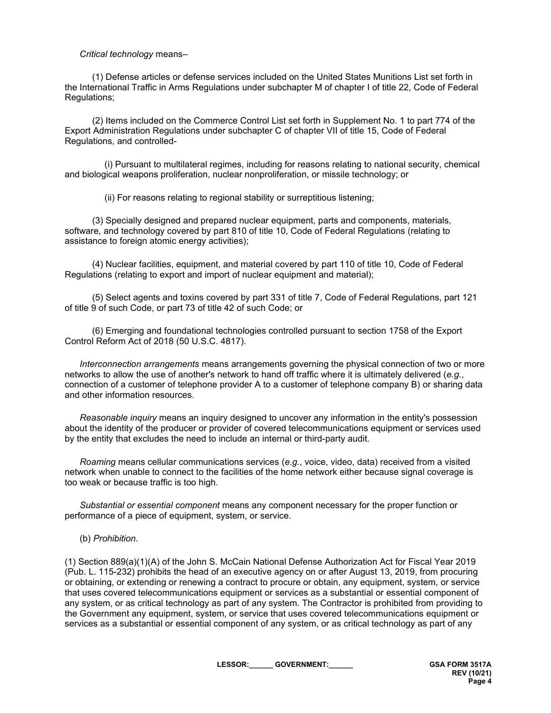#### *Critical technology* means–

 (1) Defense articles or defense services included on the United States Munitions List set forth in the International Traffic in Arms Regulations under subchapter M of chapter I of title 22, Code of Federal Regulations;

 (2) Items included on the Commerce Control List set forth in Supplement No. 1 to part 774 of the Export Administration Regulations under subchapter C of chapter VII of title 15, Code of Federal Regulations, and controlled-

 (i) Pursuant to multilateral regimes, including for reasons relating to national security, chemical and biological weapons proliferation, nuclear nonproliferation, or missile technology; or

(ii) For reasons relating to regional stability or surreptitious listening;

 (3) Specially designed and prepared nuclear equipment, parts and components, materials, software, and technology covered by part 810 of title 10, Code of Federal Regulations (relating to assistance to foreign atomic energy activities);

 (4) Nuclear facilities, equipment, and material covered by part 110 of title 10, Code of Federal Regulations (relating to export and import of nuclear equipment and material);

 (5) Select agents and toxins covered by part 331 of title 7, Code of Federal Regulations, part 121 of title 9 of such Code, or part 73 of title 42 of such Code; or

 (6) Emerging and foundational technologies controlled pursuant to section 1758 of the Export Control Reform Act of 2018 (50 U.S.C. 4817).

 *Interconnection arrangements* means arrangements governing the physical connection of two or more networks to allow the use of another's network to hand off traffic where it is ultimately delivered (*e.g.*, connection of a customer of telephone provider A to a customer of telephone company B) or sharing data and other information resources.

 *Reasonable inquiry* means an inquiry designed to uncover any information in the entity's possession about the identity of the producer or provider of covered telecommunications equipment or services used by the entity that excludes the need to include an internal or third-party audit.

 *Roaming* means cellular communications services (*e.g.*, voice, video, data) received from a visited network when unable to connect to the facilities of the home network either because signal coverage is too weak or because traffic is too high.

 *Substantial or essential component* means any component necessary for the proper function or performance of a piece of equipment, system, or service.

#### (b) *Prohibition*.

(1) Section 889(a)(1)(A) of the John S. McCain National Defense Authorization Act for Fiscal Year 2019 (Pub. L. 115-232) prohibits the head of an executive agency on or after August 13, 2019, from procuring or obtaining, or extending or renewing a contract to procure or obtain, any equipment, system, or service that uses covered telecommunications equipment or services as a substantial or essential component of any system, or as critical technology as part of any system. The Contractor is prohibited from providing to the Government any equipment, system, or service that uses covered telecommunications equipment or services as a substantial or essential component of any system, or as critical technology as part of any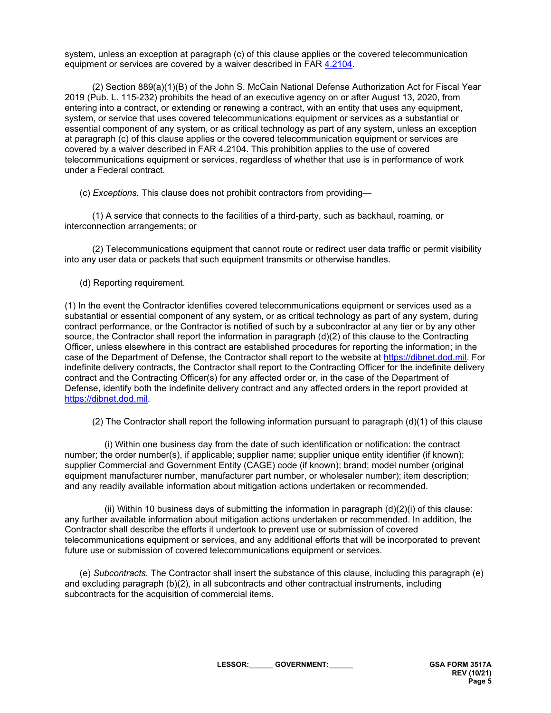system, unless an exception at paragraph (c) of this clause applies or the covered telecommunication equipment or services are covered by a waiver described in FAR [4.2104.](https://www.acquisition.gov/content/part-4-administrative-and-information-matters#id1989GI040ZO)

 (2) Section 889(a)(1)(B) of the John S. McCain National Defense Authorization Act for Fiscal Year 2019 (Pub. L. 115-232) prohibits the head of an executive agency on or after August 13, 2020, from entering into a contract, or extending or renewing a contract, with an entity that uses any equipment, system, or service that uses covered telecommunications equipment or services as a substantial or essential component of any system, or as critical technology as part of any system, unless an exception at paragraph (c) of this clause applies or the covered telecommunication equipment or services are covered by a waiver described in FAR 4.2104. This prohibition applies to the use of covered telecommunications equipment or services, regardless of whether that use is in performance of work under a Federal contract.

(c) *Exceptions.* This clause does not prohibit contractors from providing—

 (1) A service that connects to the facilities of a third-party, such as backhaul, roaming, or interconnection arrangements; or

 (2) Telecommunications equipment that cannot route or redirect user data traffic or permit visibility into any user data or packets that such equipment transmits or otherwise handles.

(d) Reporting requirement.

(1) In the event the Contractor identifies covered telecommunications equipment or services used as a substantial or essential component of any system, or as critical technology as part of any system, during contract performance, or the Contractor is notified of such by a subcontractor at any tier or by any other source, the Contractor shall report the information in paragraph (d)(2) of this clause to the Contracting Officer, unless elsewhere in this contract are established procedures for reporting the information; in the case of the Department of Defense, the Contractor shall report to the website at [https://dibnet.dod.mil.](https://dibnet.dod.mil/) For indefinite delivery contracts, the Contractor shall report to the Contracting Officer for the indefinite delivery contract and the Contracting Officer(s) for any affected order or, in the case of the Department of Defense, identify both the indefinite delivery contract and any affected orders in the report provided at [https://dibnet.dod.mil.](https://dibnet.dod.mil/)

(2) The Contractor shall report the following information pursuant to paragraph  $(d)(1)$  of this clause

 (i) Within one business day from the date of such identification or notification: the contract number; the order number(s), if applicable; supplier name; supplier unique entity identifier (if known); supplier Commercial and Government Entity (CAGE) code (if known); brand; model number (original equipment manufacturer number, manufacturer part number, or wholesaler number); item description; and any readily available information about mitigation actions undertaken or recommended.

 (ii) Within 10 business days of submitting the information in paragraph (d)(2)(i) of this clause: any further available information about mitigation actions undertaken or recommended. In addition, the Contractor shall describe the efforts it undertook to prevent use or submission of covered telecommunications equipment or services, and any additional efforts that will be incorporated to prevent future use or submission of covered telecommunications equipment or services.

 (e) *Subcontracts.* The Contractor shall insert the substance of this clause, including this paragraph (e) and excluding paragraph (b)(2), in all subcontracts and other contractual instruments, including subcontracts for the acquisition of commercial items.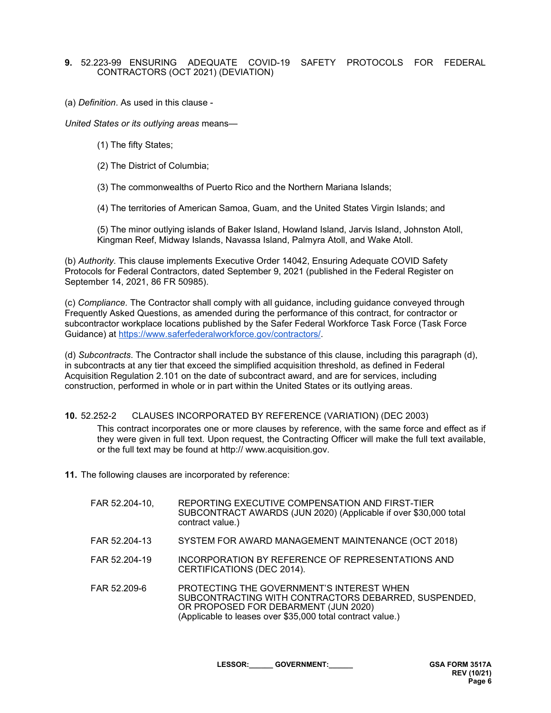## **9.** 52.223-99 ENSURING ADEQUATE COVID-19 SAFETY PROTOCOLS FOR FEDERAL CONTRACTORS (OCT 2021) (DEVIATION)

(a) *Definition*. As used in this clause -

*United States or its outlying areas* means—

- (1) The fifty States;
- (2) The District of Columbia;
- (3) The commonwealths of Puerto Rico and the Northern Mariana Islands;
- (4) The territories of American Samoa, Guam, and the United States Virgin Islands; and

(5) The minor outlying islands of Baker Island, Howland Island, Jarvis Island, Johnston Atoll, Kingman Reef, Midway Islands, Navassa Island, Palmyra Atoll, and Wake Atoll.

(b) *Authority.* This clause implements Executive Order 14042, Ensuring Adequate COVID Safety Protocols for Federal Contractors, dated September 9, 2021 (published in the Federal Register on September 14, 2021, 86 FR 50985).

(c) *Compliance.* The Contractor shall comply with all guidance, including guidance conveyed through Frequently Asked Questions, as amended during the performance of this contract, for contractor or subcontractor workplace locations published by the Safer Federal Workforce Task Force (Task Force Guidance) at https://www.saferfederalworkforce.gov/contractors/.

(d) *Subcontracts*. The Contractor shall include the substance of this clause, including this paragraph (d), in subcontracts at any tier that exceed the simplified acquisition threshold, as defined in Federal Acquisition Regulation 2.101 on the date of subcontract award, and are for services, including construction, performed in whole or in part within the United States or its outlying areas.

#### **10.** 52.252-2 CLAUSES INCORPORATED BY REFERENCE (VARIATION) (DEC 2003)

This contract incorporates one or more clauses by reference, with the same force and effect as if they were given in full text. Upon request, the Contracting Officer will make the full text available, or the full text may be found at http:// www.acquisition.gov.

**11.** The following clauses are incorporated by reference:

| FAR 52.204-10, | REPORTING EXECUTIVE COMPENSATION AND FIRST-TIER<br>SUBCONTRACT AWARDS (JUN 2020) (Applicable if over \$30,000 total<br>contract value.)                                                                 |
|----------------|---------------------------------------------------------------------------------------------------------------------------------------------------------------------------------------------------------|
| FAR 52.204-13  | SYSTEM FOR AWARD MANAGEMENT MAINTENANCE (OCT 2018)                                                                                                                                                      |
| FAR 52.204-19  | INCORPORATION BY REFERENCE OF REPRESENTATIONS AND<br>CERTIFICATIONS (DEC 2014).                                                                                                                         |
| FAR 52.209-6   | PROTECTING THE GOVERNMENT'S INTEREST WHEN<br>SUBCONTRACTING WITH CONTRACTORS DEBARRED, SUSPENDED,<br>OR PROPOSED FOR DEBARMENT (JUN 2020)<br>(Applicable to leases over \$35,000 total contract value.) |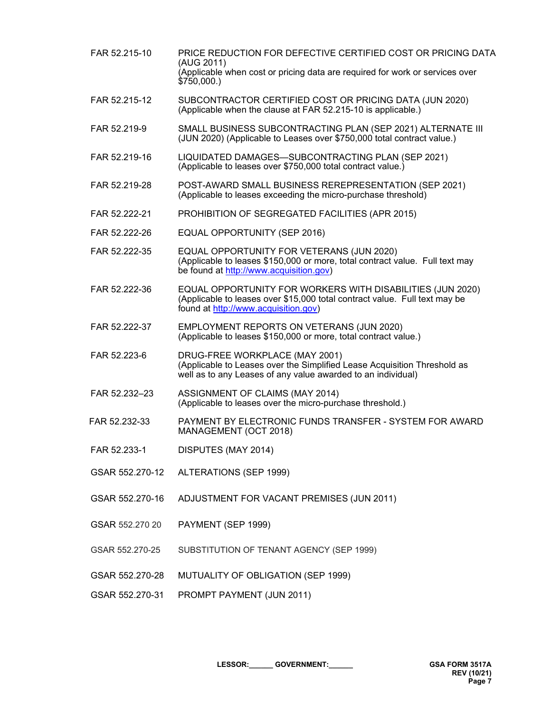FAR 52.215-10 PRICE REDUCTION FOR DEFECTIVE CERTIFIED COST OR PRICING DATA (AUG 2011) (Applicable when cost or pricing data are required for work or services over  $$750.000.$ FAR 52.215-12 SUBCONTRACTOR CERTIFIED COST OR PRICING DATA (JUN 2020) (Applicable when the clause at FAR 52.215-10 is applicable.) FAR 52.219-9 SMALL BUSINESS SUBCONTRACTING PLAN (SEP 2021) ALTERNATE III (JUN 2020) (Applicable to Leases over \$750,000 total contract value.) FAR 52.219-16 LIQUIDATED DAMAGES—SUBCONTRACTING PLAN (SEP 2021) (Applicable to leases over \$750,000 total contract value.) FAR 52.219-28 POST-AWARD SMALL BUSINESS REREPRESENTATION (SEP 2021) (Applicable to leases exceeding the micro-purchase threshold) FAR 52.222-21 PROHIBITION OF SEGREGATED FACILITIES (APR 2015) FAR 52.222-26 EQUAL OPPORTUNITY (SEP 2016) FAR 52.222-35 EQUAL OPPORTUNITY FOR VETERANS (JUN 2020) (Applicable to leases \$150,000 or more, total contract value. Full text may be found at http://www.acquisition.gov) FAR 52.222-36 EQUAL OPPORTUNITY FOR WORKERS WITH DISABILITIES (JUN 2020) (Applicable to leases over \$15,000 total contract value. Full text may be found at http://www.acquisition.gov) FAR 52.222-37 EMPLOYMENT REPORTS ON VETERANS (JUN 2020) (Applicable to leases \$150,000 or more, total contract value.) FAR 52.223-6 DRUG-FREE WORKPLACE (MAY 2001) (Applicable to Leases over the Simplified Lease Acquisition Threshold as well as to any Leases of any value awarded to an individual) FAR 52.232–23 ASSIGNMENT OF CLAIMS (MAY 2014) (Applicable to leases over the micro-purchase threshold.) FAR 52.232-33 PAYMENT BY ELECTRONIC FUNDS TRANSFER - SYSTEM FOR AWARD MANAGEMENT (OCT 2018) FAR 52.233-1 DISPUTES (MAY 2014) GSAR 552.270-12 ALTERATIONS (SEP 1999) GSAR 552.270-16 ADJUSTMENT FOR VACANT PREMISES (JUN 2011) GSAR 552.270 20 PAYMENT (SEP 1999) GSAR 552.270-25 SUBSTITUTION OF TENANT AGENCY (SEP 1999) GSAR 552.270-28 MUTUALITY OF OBLIGATION (SEP 1999) GSAR 552.270-31 PROMPT PAYMENT (JUN 2011)